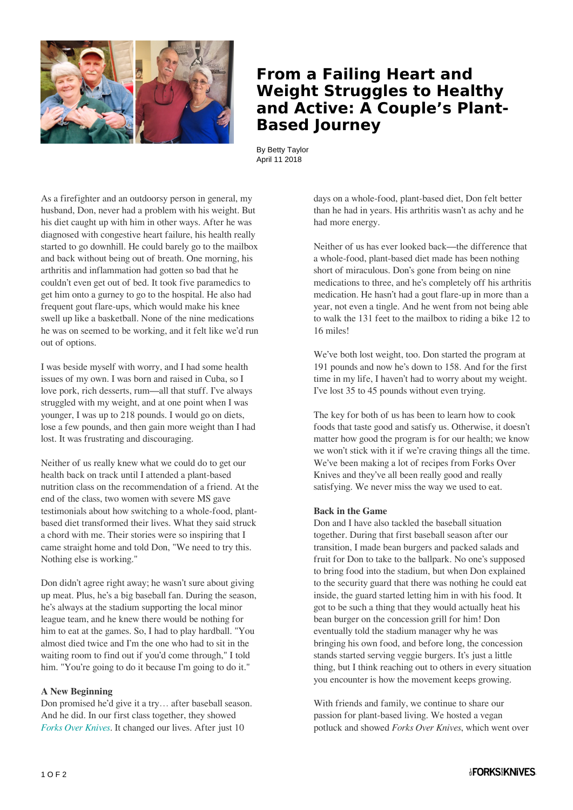

## **From a Failing Heart and Weight Struggles to Healthy and Active: A Couple's Plant-Based Journey**

By Betty Taylor April 11 2018

As a firefighter and an outdoorsy person in general, my husband, Don, never had a problem with his weight. But his diet caught up with him in other ways. After he was diagnosed with congestive heart failure, his health really started to go downhill. He could barely go to the mailbox and back without being out of breath. One morning, his arthritis and inflammation had gotten so bad that he couldn't even get out of bed. It took five paramedics to get him onto a gurney to go to the hospital. He also had frequent gout flare-ups, which would make his knee swell up like a basketball. None of the nine medications he was on seemed to be working, and it felt like we'd run out of options.

I was beside myself with worry, and I had some health issues of my own. I was born and raised in Cuba, so I love pork, rich desserts, rum—all that stuff. I've always struggled with my weight, and at one point when I was younger, I was up to 218 pounds. I would go on diets, lose a few pounds, and then gain more weight than I had lost. It was frustrating and discouraging.

Neither of us really knew what we could do to get our health back on track until I attended a plant-based nutrition class on the recommendation of a friend. At the end of the class, two women with severe MS gave testimonials about how switching to a whole-food, plantbased diet transformed their lives. What they said struck a chord with me. Their stories were so inspiring that I came straight home and told Don, "We need to try this. Nothing else is working."

Don didn't agree right away; he wasn't sure about giving up meat. Plus, he's a big baseball fan. During the season, he's always at the stadium supporting the local minor league team, and he knew there would be nothing for him to eat at the games. So, I had to play hardball. "You almost died twice and I'm the one who had to sit in the waiting room to find out if you'd come through," I told him. "You're going to do it because I'm going to do it."

## **A New Beginning**

Don promised he'd give it a try… after baseball season. And he did. In our first class together, they showed *[Forks Over Knives](https://www.forksoverknives.com/the-film/)*. It changed our lives. After just 10

days on a whole-food, plant-based diet, Don felt better than he had in years. His arthritis wasn't as achy and he had more energy.

Neither of us has ever looked back—the difference that a whole-food, plant-based diet made has been nothing short of miraculous. Don's gone from being on nine medications to three, and he's completely off his arthritis medication. He hasn't had a gout flare-up in more than a year, not even a tingle. And he went from not being able to walk the 131 feet to the mailbox to riding a bike 12 to 16 miles!

We've both lost weight, too. Don started the program at 191 pounds and now he's down to 158. And for the first time in my life, I haven't had to worry about my weight. I've lost 35 to 45 pounds without even trying.

The key for both of us has been to learn how to cook foods that taste good and satisfy us. Otherwise, it doesn't matter how good the program is for our health; we know we won't stick with it if we're craving things all the time. We've been making a lot of recipes from Forks Over Knives and they've all been really good and really satisfying. We never miss the way we used to eat.

## **Back in the Game**

Don and I have also tackled the baseball situation together. During that first baseball season after our transition, I made bean burgers and packed salads and fruit for Don to take to the ballpark. No one's supposed to bring food into the stadium, but when Don explained to the security guard that there was nothing he could eat inside, the guard started letting him in with his food. It got to be such a thing that they would actually heat his bean burger on the concession grill for him! Don eventually told the stadium manager why he was bringing his own food, and before long, the concession stands started serving veggie burgers. It's just a little thing, but I think reaching out to others in every situation you encounter is how the movement keeps growing.

With friends and family, we continue to share our passion for plant-based living. We hosted a vegan potluck and showed *Forks Over Knives*, which went over